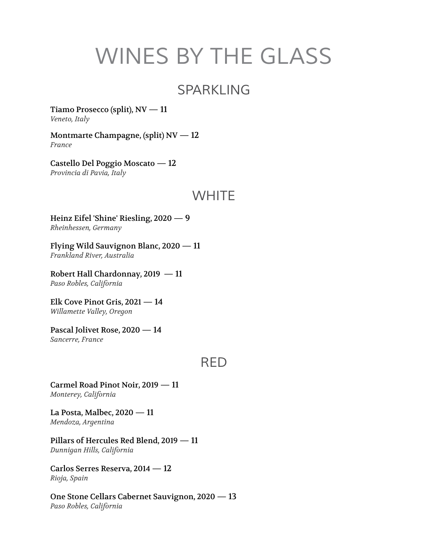# *WINES BY THE GLASS*

#### *SPARKLING*

Tiamo Prosecco (split),  $NV - 11$ *Veneto, Italy*

Montmarte Champagne, (split) NV — 12 *France*

Castello Del Poggio Moscato — 12 *Provincia di Pavia, Italy*

#### *WHITE*

Heinz Eifel 'Shine' Riesling, 2020 — 9 *Rheinhessen, Germany*

Flying Wild Sauvignon Blanc, 2020 — 11 *Frankland River, Australia*

Robert Hall Chardonnay, 2019 — 11 *Paso Robles, California*

Elk Cove Pinot Gris, 2021 — 14 *Willamette Valley, Oregon*

Pascal Jolivet Rose, 2020 — 14 *Sancerre, France*

#### *RED*

Carmel Road Pinot Noir, 2019 — 11 *Monterey, California*

La Posta, Malbec, 2020 — 11 *Mendoza, Argentina*

Pillars of Hercules Red Blend, 2019 — 11 *Dunnigan Hills, California*

Carlos Serres Reserva, 2014 — 12 *Rioja, Spain*

One Stone Cellars Cabernet Sauvignon, 2020 — 13 *Paso Robles, California*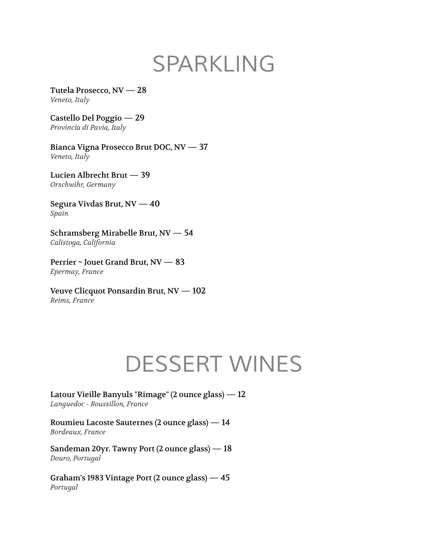# *SPARKLING*

Tutela Prosecco, NV — 28 *Veneto, Italy*

Castello Del Poggio — 29 *Provincia di Pavia, Italy*

Bianca Vigna Prosecco Brut DOC, NV — 37 *Veneto, Italy*

Lucien Albrecht Brut — 39 *Orschwihr, Germany*

Segura Vivdas Brut, NV — 40 *Spain*

Schramsberg Mirabelle Brut, NV — 54 *Calistoga, California*

Perrier ~ Jouet Grand Brut, NV — 83 *Epermay, France*

Veuve Clicquot Ponsardin Brut, NV — 102 *Reims, France*

#### *DESSERT WINES*

Latour Vieille Banyuls "Rimage" (2 ounce glass) — 12 *Languedoc - Roussillon, France*

Roumieu Lacoste Sauternes (2 ounce glass) — 14 *Bordeaux, France*

Sandeman 20yr. Tawny Port (2 ounce glass) — 18 *Douro, Portugal*

Graham's 1983 Vintage Port (2 ounce glass) — 45 *Portugal*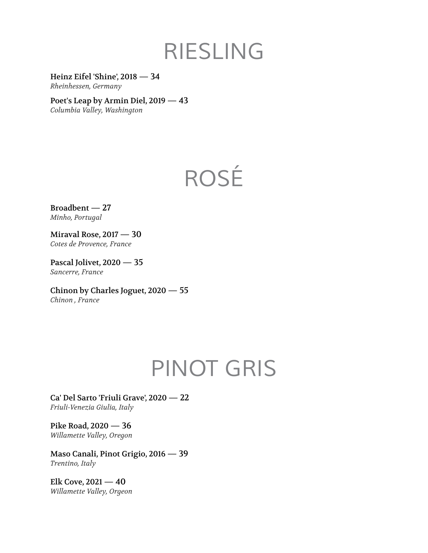### *RIESLING*

Heinz Eifel 'Shine', 2018 — 34 *Rheinhessen, Germany*

Poet's Leap by Armin Diel, 2019 — 43 *Columbia Valley, Washington*

# *ROSÉ*

Broadbent — 27 *Minho, Portugal*

Miraval Rose, 2017 — 30 *Cotes de Provence, France*

Pascal Jolivet, 2020 — 35 *Sancerre, France*

Chinon by Charles Joguet, 2020 — 55 *Chinon , France*

# *PINOT GRIS*

Ca' Del Sarto 'Friuli Grave', 2020 — 22 *Friuli-Venezia Giulia, Italy*

Pike Road, 2020 — 36 *Willamette Valley, Oregon*

Maso Canali, Pinot Grigio, 2016 — 39 *Trentino, Italy*

Elk Cove,  $2021 - 40$ *Willamette Valley, Orgeon*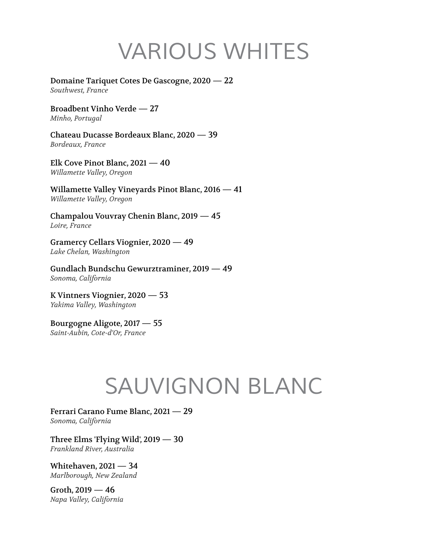# *VARIOUS WHITES*

Domaine Tariquet Cotes De Gascogne, 2020 — 22 *Southwest, France*

Broadbent Vinho Verde — 27 *Minho, Portugal*

Chateau Ducasse Bordeaux Blanc, 2020 — 39 *Bordeaux, France*

Elk Cove Pinot Blanc, 2021 — 40 *Willamette Valley, Oregon*

Willamette Valley Vineyards Pinot Blanc, 2016 — 41 *Willamette Valley, Oregon*

Champalou Vouvray Chenin Blanc, 2019 — 45 *Loire, France*

Gramercy Cellars Viognier, 2020 — 49 *Lake Chelan, Washington*

Gundlach Bundschu Gewurztraminer, 2019 — 49 *Sonoma, California*

K Vintners Viognier, 2020 — 53 *Yakima Valley, Washington*

Bourgogne Aligote, 2017 — 55 *Saint-Aubin, Cote-d'Or, France*

# *SAUVIGNON BLANC*

Ferrari Carano Fume Blanc, 2021 — 29 *Sonoma, California*

Three Elms 'Flying Wild', 2019 — 30 *Frankland River, Australia*

Whitehaven, 2021 — 34 *Marlborough, New Zealand*

Groth, 2019 — 46 *Napa Valley, California*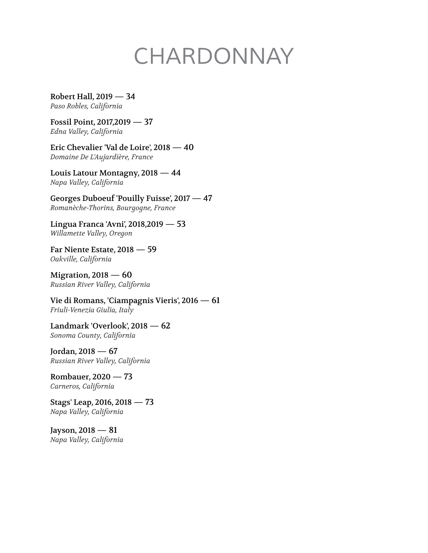# *CHARDONNAY*

Robert Hall, 2019 — 34 *Paso Robles, California*

Fossil Point, 2017,2019 — 37 *Edna Valley, California*

Eric Chevalier 'Val de Loire', 2018 — 40 *Domaine De L'Aujardière, France*

Louis Latour Montagny, 2018 — 44 *Napa Valley, California*

Georges Duboeuf 'Pouilly Fuisse', 2017 — 47 *Romanèche-Thorins, Bourgogne, France*

Lingua Franca 'Avni', 2018,2019 — 53 *Willamette Valley, Oregon*

Far Niente Estate, 2018 — 59 *Oakville, California*

Migration, 2018 — 60 *Russian River Valley, California*

Vie di Romans, 'Ciampagnis Vieris', 2016 — 61 *Friuli-Venezia Giulia, Italy*

Landmark 'Overlook', 2018 — 62 *Sonoma County, California*

Jordan, 2018 — 67 *Russian River Valley, California*

Rombauer, 2020 — 73 *Carneros, California*

Stags' Leap, 2016, 2018 — 73 *Napa Valley, California*

Jayson, 2018 — 81 *Napa Valley, California*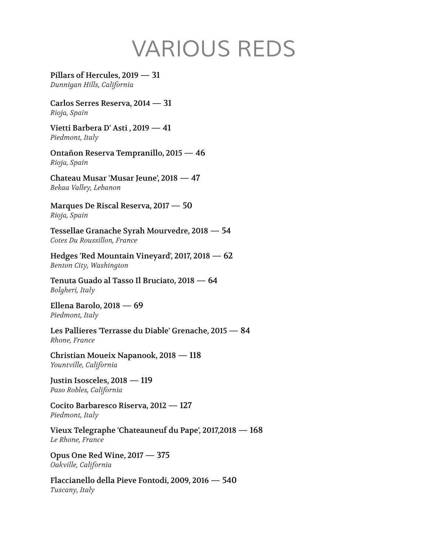# *VARIOUS REDS*

Pillars of Hercules, 2019 — 31 *Dunnigan Hills, California*

Carlos Serres Reserva, 2014 — 31 *Rioja, Spain*

Vietti Barbera D' Asti , 2019 — 41 *Piedmont, Italy*

Ontañon Reserva Tempranillo, 2015 — 46 *Rioja, Spain*

Chateau Musar 'Musar Jeune', 2018 — 47 *Bekaa Valley, Lebanon*

Marques De Riscal Reserva, 2017 — 50 *Rioja, Spain*

Tessellae Granache Syrah Mourvedre, 2018 — 54 *Cotes Du Roussillon, France*

Hedges 'Red Mountain Vineyard', 2017, 2018 — 62 *Benton City, Washington*

Tenuta Guado al Tasso Il Bruciato, 2018 — 64 *Bolgheri, Italy*

Ellena Barolo, 2018 — 69 *Piedmont, Italy*

Les Pallieres 'Terrasse du Diable' Grenache, 2015 — 84 *Rhone, France*

Christian Moueix Napanook, 2018 — 118 *Yountville, California*

Justin Isosceles, 2018 — 119 *Paso Robles, California*

Cocito Barbaresco Riserva, 2012 — 127 *Piedmont, Italy*

Vieux Telegraphe 'Chateauneuf du Pape', 2017,2018 — 168 *Le Rhone, France*

Opus One Red Wine, 2017 — 375 *Oakville, California*

Flaccianello della Pieve Fontodi, 2009, 2016 — 540 *Tuscany, Italy*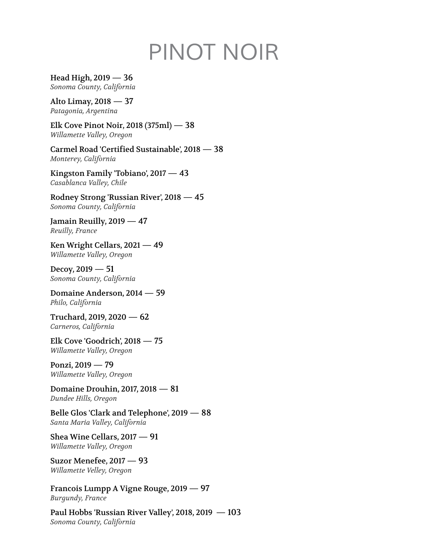# *PINOT NOIR*

Head High, 2019 — 36 *Sonoma County, California*

Alto Limay, 2018 — 37 *Patagonia, Argentina*

Elk Cove Pinot Noir, 2018 (375ml) — 38 *Willamette Valley, Oregon*

Carmel Road 'Certified Sustainable', 2018 — 38 *Monterey, California*

Kingston Family 'Tobiano', 2017 — 43 *Casablanca Valley, Chile*

Rodney Strong 'Russian River', 2018 — 45 *Sonoma County, California*

Jamain Reuilly, 2019 — 47 *Reuilly, France*

Ken Wright Cellars, 2021 — 49 *Willamette Valley, Oregon*

Decoy, 2019 — 51 *Sonoma County, California*

Domaine Anderson, 2014 — 59 *Philo, California*

Truchard, 2019, 2020 — 62 *Carneros, California*

Elk Cove 'Goodrich', 2018 — 75 *Willamette Valley, Oregon*

Ponzi, 2019 — 79 *Willamette Valley, Oregon*

Domaine Drouhin, 2017, 2018 — 81 *Dundee Hills, Oregon*

Belle Glos 'Clark and Telephone', 2019 — 88 *Santa Maria Valley, California*

Shea Wine Cellars, 2017 — 91 *Willamette Valley, Oregon*

Suzor Menefee, 2017 — 93 *Willamette Velley, Oregon*

Francois Lumpp A Vigne Rouge, 2019 — 97 *Burgundy, France*

Paul Hobbs 'Russian River Valley', 2018, 2019 — 103 *Sonoma County, California*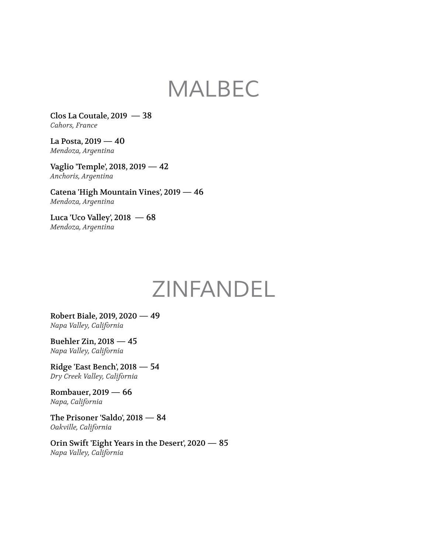#### *MALBEC*

Clos La Coutale, 2019 — 38 *Cahors, France*

La Posta, 2019 — 40 *Mendoza, Argentina*

Vaglio 'Temple', 2018, 2019 — 42 *Anchoris, Argentina*

Catena 'High Mountain Vines', 2019 — 46 *Mendoza, Argentina*

Luca 'Uco Valley',  $2018 - 68$ *Mendoza, Argentina*

## *ZINFANDEL*

Robert Biale, 2019, 2020 — 49 *Napa Valley, California*

Buehler Zin, 2018 — 45 *Napa Valley, California*

Ridge 'East Bench', 2018 — 54 *Dry Creek Valley, California*

Rombauer, 2019 — 66 *Napa, California*

The Prisoner 'Saldo', 2018 — 84 *Oakville, California*

Orin Swift 'Eight Years in the Desert', 2020 — 85 *Napa Valley, California*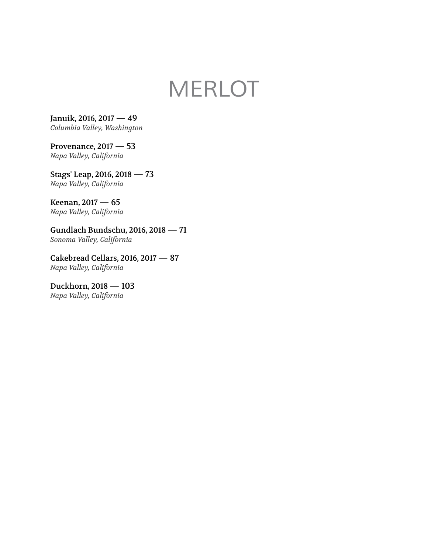# *MERLOT*

Januik, 2016, 2017 — 49 *Columbia Valley, Washington*

Provenance, 2017 — 53 *Napa Valley, California*

Stags' Leap, 2016, 2018 — 73 *Napa Valley, California*

Keenan, 2017 — 65 *Napa Valley, California*

Gundlach Bundschu, 2016, 2018 — 71 *Sonoma Valley, California*

Cakebread Cellars, 2016, 2017 — 87 *Napa Valley, California*

Duckhorn, 2018 — 103 *Napa Valley, California*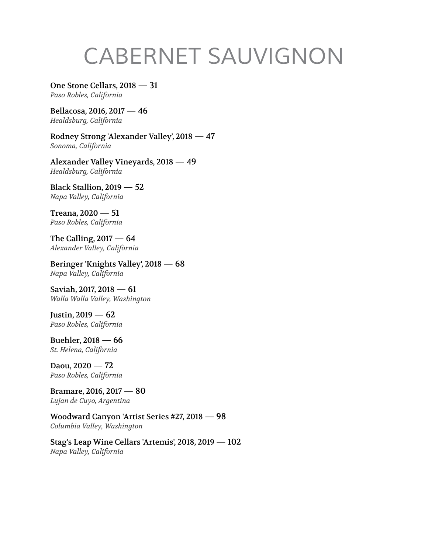# *CABERNET SAUVIGNON*

One Stone Cellars, 2018 — 31 *Paso Robles, California*

Bellacosa, 2016, 2017 — 46 *Healdsburg, California*

Rodney Strong 'Alexander Valley', 2018 — 47 *Sonoma, California*

Alexander Valley Vineyards, 2018 — 49 *Healdsburg, California*

Black Stallion, 2019 — 52 *Napa Valley, California*

Treana, 2020 — 51 *Paso Robles, California*

The Calling,  $2017 - 64$ *Alexander Valley, California*

Beringer 'Knights Valley', 2018 — 68 *Napa Valley, California*

Saviah, 2017, 2018 — 61 *Walla Walla Valley, Washington*

Justin, 2019 — 62 *Paso Robles, California*

Buehler, 2018 — 66 *St. Helena, California*

Daou, 2020 — 72 *Paso Robles, California*

Bramare, 2016, 2017 — 80 *Lujan de Cuyo, Argentina*

Woodward Canyon 'Artist Series #27, 2018 — 98 *Columbia Valley, Washington*

Stag's Leap Wine Cellars 'Artemis', 2018, 2019 — 102 *Napa Valley, California*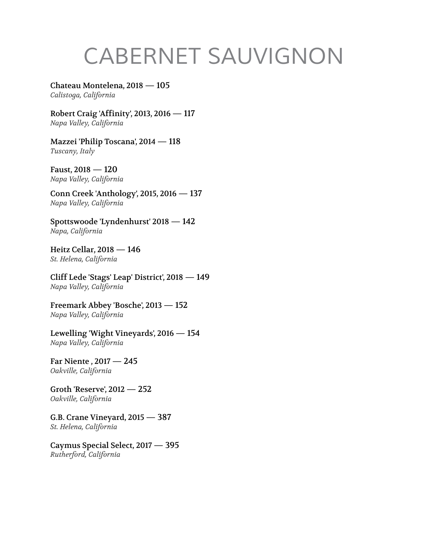# *CABERNET SAUVIGNON*

Chateau Montelena, 2018 — 105 *Calistoga, California*

Robert Craig 'Affinity', 2013, 2016 — 117 *Napa Valley, California*

Mazzei 'Philip Toscana', 2014 — 118 *Tuscany, Italy*

Faust, 2018 — 120 *Napa Valley, California*

Conn Creek 'Anthology', 2015, 2016 — 137 *Napa Valley, California*

Spottswoode 'Lyndenhurst' 2018 — 142 *Napa, California*

Heitz Cellar, 2018 — 146 *St. Helena, California*

Cliff Lede 'Stags' Leap' District', 2018 — 149 *Napa Valley, California*

Freemark Abbey 'Bosche', 2013 — 152 *Napa Valley, California*

Lewelling 'Wight Vineyards', 2016 — 154 *Napa Valley, California*

Far Niente , 2017 — 245 *Oakville, California*

Groth 'Reserve', 2012 — 252 *Oakville, California*

G.B. Crane Vineyard, 2015 — 387 *St. Helena, California*

Caymus Special Select, 2017 — 395 *Rutherford, California*